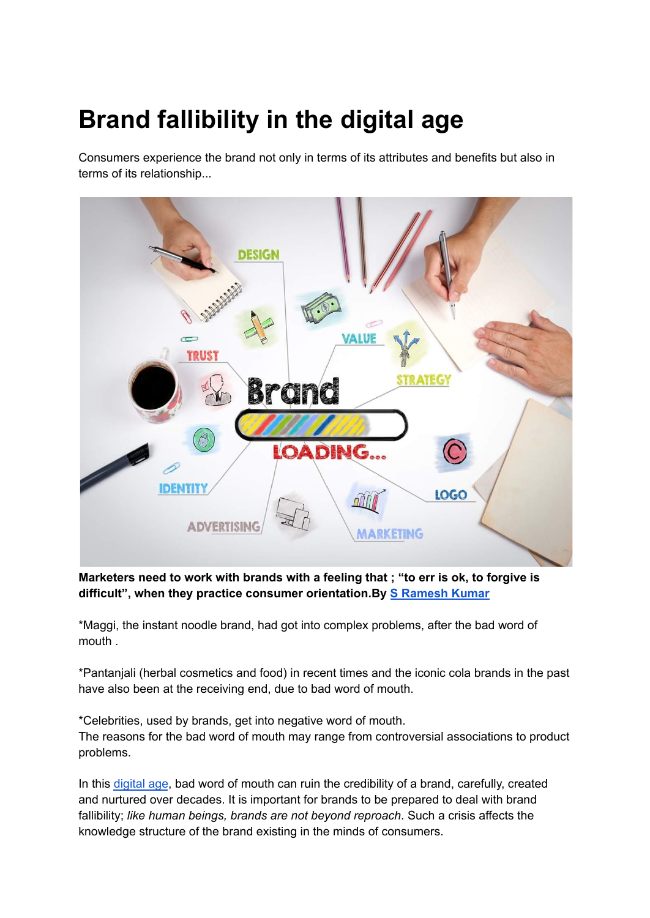## **Brand fallibility in the digital age**

Consumers experience the brand not only in terms of its attributes and benefits but also in terms of its relationship...



**Marketers need to work with brands with a feeling that ; "to err is ok, to forgive is difficult", when they practice consumer orientation.By S [Ramesh](https://brandequity.economictimes.indiatimes.com/tag/s+ramesh+kumar) Kumar**

\*Maggi, the instant noodle brand, had got into complex problems, after the bad word of mouth .

\*Pantanjali (herbal cosmetics and food) in recent times and the iconic cola brands in the past have also been at the receiving end, due to bad word of mouth.

\*Celebrities, used by brands, get into negative word of mouth. The reasons for the bad word of mouth may range from controversial associations to product problems.

In this [digital](https://brandequity.economictimes.indiatimes.com/tag/digital+age) age, bad word of mouth can ruin the credibility of a brand, carefully, created and nurtured over decades. It is important for brands to be prepared to deal with brand fallibility; *like human beings, brands are not beyond reproach*. Such a crisis affects the knowledge structure of the brand existing in the minds of consumers.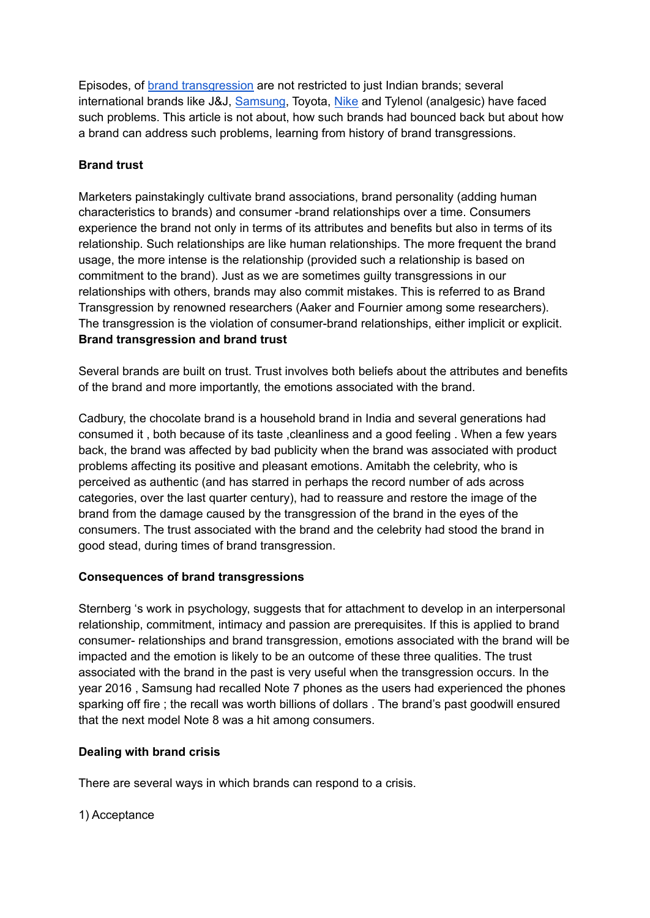Episodes, of brand [transgression](https://brandequity.economictimes.indiatimes.com/tag/brand+transgression) are not restricted to just Indian brands; several international brands like J&J, [Samsung](https://brandequity.economictimes.indiatimes.com/tag/samsung), Toyota, [Nike](https://brandequity.economictimes.indiatimes.com/tag/nike) and Tylenol (analgesic) have faced such problems. This article is not about, how such brands had bounced back but about how a brand can address such problems, learning from history of brand transgressions.

## **Brand trust**

Marketers painstakingly cultivate brand associations, brand personality (adding human characteristics to brands) and consumer -brand relationships over a time. Consumers experience the brand not only in terms of its attributes and benefits but also in terms of its relationship. Such relationships are like human relationships. The more frequent the brand usage, the more intense is the relationship (provided such a relationship is based on commitment to the brand). Just as we are sometimes guilty transgressions in our relationships with others, brands may also commit mistakes. This is referred to as Brand Transgression by renowned researchers (Aaker and Fournier among some researchers). The transgression is the violation of consumer-brand relationships, either implicit or explicit. **Brand transgression and brand trust**

Several brands are built on trust. Trust involves both beliefs about the attributes and benefits of the brand and more importantly, the emotions associated with the brand.

Cadbury, the chocolate brand is a household brand in India and several generations had consumed it , both because of its taste ,cleanliness and a good feeling . When a few years back, the brand was affected by bad publicity when the brand was associated with product problems affecting its positive and pleasant emotions. Amitabh the celebrity, who is perceived as authentic (and has starred in perhaps the record number of ads across categories, over the last quarter century), had to reassure and restore the image of the brand from the damage caused by the transgression of the brand in the eyes of the consumers. The trust associated with the brand and the celebrity had stood the brand in good stead, during times of brand transgression.

## **Consequences of brand transgressions**

Sternberg 's work in psychology, suggests that for attachment to develop in an interpersonal relationship, commitment, intimacy and passion are prerequisites. If this is applied to brand consumer- relationships and brand transgression, emotions associated with the brand will be impacted and the emotion is likely to be an outcome of these three qualities. The trust associated with the brand in the past is very useful when the transgression occurs. In the year 2016 , Samsung had recalled Note 7 phones as the users had experienced the phones sparking off fire ; the recall was worth billions of dollars . The brand's past goodwill ensured that the next model Note 8 was a hit among consumers.

## **Dealing with brand crisis**

There are several ways in which brands can respond to a crisis.

1) Acceptance